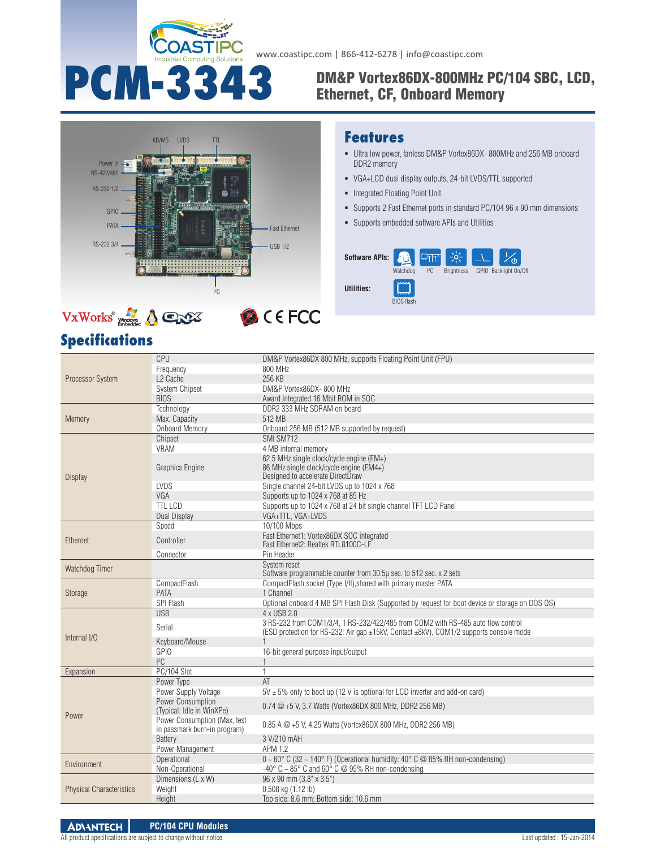

www.coastipc.com | 866-412-6278 | info@coastipc.com

## PCM-3343 DM&P Vortex86DX-800MHz PC/104 SBC, LCD, Ethernet, CF, Onboard Memory



### VxWorks**® B** CEFCC

## **Specifications**

## **Features**

- Ultra low power, fanless DM&P Vortex86DX- 800MHz and 256 MB onboard DDR2 memory
- VGA+LCD dual display outputs, 24-bit LVDS/TTL supported
- Integrated Floating Point Unit
- Supports 2 Fast Ethernet ports in standard PC/104 96 x 90 mm dimensions
- Supports embedded software APIs and Utilities



|                                 | CPU                          | DM&P Vortex86DX 800 MHz, supports Floating Point Unit (FPU)                                      |  |  |  |  |  |
|---------------------------------|------------------------------|--------------------------------------------------------------------------------------------------|--|--|--|--|--|
|                                 | Frequency                    | 800 MHz                                                                                          |  |  |  |  |  |
| Processor System                | L <sub>2</sub> Cache         | 256 KB                                                                                           |  |  |  |  |  |
|                                 | <b>System Chipset</b>        | DM&P Vortex86DX-800 MHz                                                                          |  |  |  |  |  |
|                                 | <b>BIOS</b>                  | Award integrated 16 Mbit ROM in SOC                                                              |  |  |  |  |  |
|                                 | Technology                   | DDR2 333 MHz SDRAM on board                                                                      |  |  |  |  |  |
| Memory                          | Max. Capacity                | 512 MB                                                                                           |  |  |  |  |  |
|                                 | <b>Onboard Memory</b>        | Onboard 256 MB (512 MB supported by request)                                                     |  |  |  |  |  |
|                                 | Chipset                      | SMI SM712                                                                                        |  |  |  |  |  |
|                                 | <b>VRAM</b>                  | 4 MB internal memory                                                                             |  |  |  |  |  |
|                                 |                              |                                                                                                  |  |  |  |  |  |
|                                 | <b>Graphics Engine</b>       | 62.5 MHz single clock/cycle engine (EM+)<br>86 MHz single clock/cycle engine (EM4+)              |  |  |  |  |  |
|                                 |                              | Designed to accelerate DirectDraw                                                                |  |  |  |  |  |
| <b>Display</b>                  | <b>LVDS</b>                  | Single channel 24-bit LVDS up to 1024 x 768                                                      |  |  |  |  |  |
|                                 | VGA                          | Supports up to 1024 x 768 at 85 Hz                                                               |  |  |  |  |  |
|                                 | <b>TTL LCD</b>               | Supports up to 1024 x 768 at 24 bit single channel TFT LCD Panel                                 |  |  |  |  |  |
|                                 | Dual Display                 | VGA+TTL, VGA+LVDS                                                                                |  |  |  |  |  |
|                                 | Speed                        | 10/100 Mbps                                                                                      |  |  |  |  |  |
| Ethernet                        |                              |                                                                                                  |  |  |  |  |  |
|                                 | Controller                   | Fast Ethernet1: Vortex86DX SOC integrated<br>Fast Ethernet2: Realtek RTL8100C-LF                 |  |  |  |  |  |
|                                 | Connector                    | Pin Header                                                                                       |  |  |  |  |  |
|                                 |                              | System reset                                                                                     |  |  |  |  |  |
| Watchdog Timer                  |                              | Software programmable counter from 30.5µ sec. to 512 sec. x 2 sets                               |  |  |  |  |  |
|                                 | CompactFlash                 | CompactFlash socket (Type I/II), shared with primary master PATA                                 |  |  |  |  |  |
| <b>Storage</b>                  | PATA                         | 1 Channel                                                                                        |  |  |  |  |  |
|                                 | SPI Flash                    | Optional onboard 4 MB SPI Flash Disk (Supported by request for boot device or storage on DOS OS) |  |  |  |  |  |
|                                 | <b>USB</b>                   | 4 x USB 2.0                                                                                      |  |  |  |  |  |
|                                 |                              | 3 RS-232 from COM1/3/4, 1 RS-232/422/485 from COM2 with RS-485 auto flow control                 |  |  |  |  |  |
|                                 | Serial                       | (ESD protection for RS-232: Air gap ±15kV, Contact ±8kV), COM1/2 supports console mode           |  |  |  |  |  |
| Internal I/O                    | Keyboard/Mouse               |                                                                                                  |  |  |  |  |  |
|                                 | <b>GPIO</b>                  | 16-bit general purpose input/output                                                              |  |  |  |  |  |
|                                 | ${}^{12}C$                   |                                                                                                  |  |  |  |  |  |
| Expansion                       | PC/104 Slot                  | $\mathbf{1}$                                                                                     |  |  |  |  |  |
|                                 | Power Type                   | AT                                                                                               |  |  |  |  |  |
|                                 | Power Supply Voltage         | $5V \pm 5\%$ only to boot up (12 V is optional for LCD inverter and add-on card)                 |  |  |  |  |  |
|                                 | Power Consumption            |                                                                                                  |  |  |  |  |  |
| Power                           | (Typical: Idle in WinXPe)    | 0.74 @ +5 V, 3.7 Watts (Vortex86DX 800 MHz, DDR2 256 MB)                                         |  |  |  |  |  |
|                                 | Power Consumption (Max, test |                                                                                                  |  |  |  |  |  |
|                                 | in passmark burn-in program) | 0.85 A @ +5 V, 4.25 Watts (Vortex86DX 800 MHz, DDR2 256 MB)                                      |  |  |  |  |  |
|                                 | <b>Battery</b>               | 3 V/210 mAH                                                                                      |  |  |  |  |  |
|                                 | Power Management             | APM 1.2                                                                                          |  |  |  |  |  |
|                                 | Operational                  | $0 \sim 60^{\circ}$ C (32 ~ 140°F) (Operational humidity: 40°C @ 85% RH non-condensing)          |  |  |  |  |  |
| Environment                     | Non-Operational              | -40 $\degree$ C ~ 85 $\degree$ C and 60 $\degree$ C @ 95% RH non-condensing                      |  |  |  |  |  |
| <b>Physical Characteristics</b> | Dimensions (L x W)           | 96 x 90 mm (3.8" x 3.5")                                                                         |  |  |  |  |  |
|                                 | Weight                       | 0.508 kg (1.12 lb)                                                                               |  |  |  |  |  |
|                                 | Height                       | Top side: 8.6 mm: Bottom side: 10.6 mm                                                           |  |  |  |  |  |
|                                 |                              |                                                                                                  |  |  |  |  |  |

**ADVANTECH PC/104 CPU Modules**